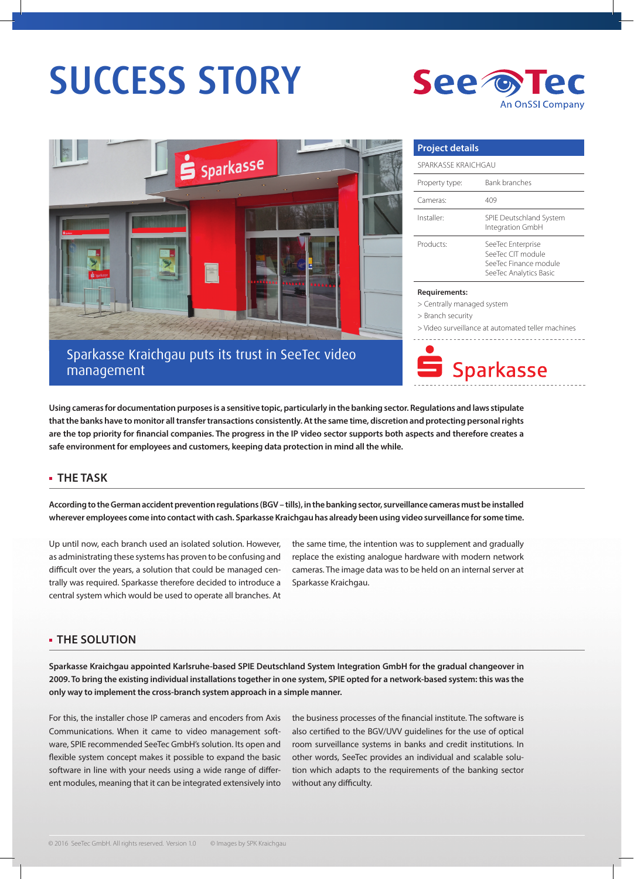# SUCCESS STORY



## Sparkasse Kraichgau puts its trust in SeeTec video management

| <b>Project details</b> |                                                                                           |
|------------------------|-------------------------------------------------------------------------------------------|
| SPARKASSE KRAICHGAU    |                                                                                           |
| Property type:         | Bank branches                                                                             |
| Cameras <sup>.</sup>   | 409                                                                                       |
| Installer:             | SPIE Deutschland System<br>Integration GmbH                                               |
| Products:              | SeeTec Enterprise<br>SeeTec CIT module<br>SeeTec Finance module<br>SeeTec Analytics Basic |

**An OnSSI Company** 

#### **Requirements:**

> Centrally managed system

See o

> Branch security

> Video surveillance at automated teller machines



**Using cameras for documentation purposes is a sensitive topic, particularly in the banking sector. Regulations and laws stipulate that the banks have to monitor all transfer transactions consistently. At the same time, discretion and protecting personal rights are the top priority for financial companies. The progress in the IP video sector supports both aspects and therefore creates a safe environment for employees and customers, keeping data protection in mind all the while.**

#### **THE TASK**

**According to the German accident prevention regulations (BGV – tills), in the banking sector, surveillance cameras must be installed wherever employees come into contact with cash. Sparkasse Kraichgau has already been using video surveillance for some time.**

Up until now, each branch used an isolated solution. However, as administrating these systems has proven to be confusing and difficult over the years, a solution that could be managed centrally was required. Sparkasse therefore decided to introduce a central system which would be used to operate all branches. At

the same time, the intention was to supplement and gradually replace the existing analogue hardware with modern network cameras. The image data was to be held on an internal server at Sparkasse Kraichgau.

#### **THE SOLUTION**

**Sparkasse Kraichgau appointed Karlsruhe-based SPIE Deutschland System Integration GmbH for the gradual changeover in 2009. To bring the existing individual installations together in one system, SPIE opted for a network-based system: this was the only way to implement the cross-branch system approach in a simple manner.**

For this, the installer chose IP cameras and encoders from Axis Communications. When it came to video management software, SPIE recommended SeeTec GmbH's solution. Its open and flexible system concept makes it possible to expand the basic software in line with your needs using a wide range of different modules, meaning that it can be integrated extensively into the business processes of the financial institute. The software is also certified to the BGV/UVV guidelines for the use of optical room surveillance systems in banks and credit institutions. In other words, SeeTec provides an individual and scalable solution which adapts to the requirements of the banking sector without any difficulty.